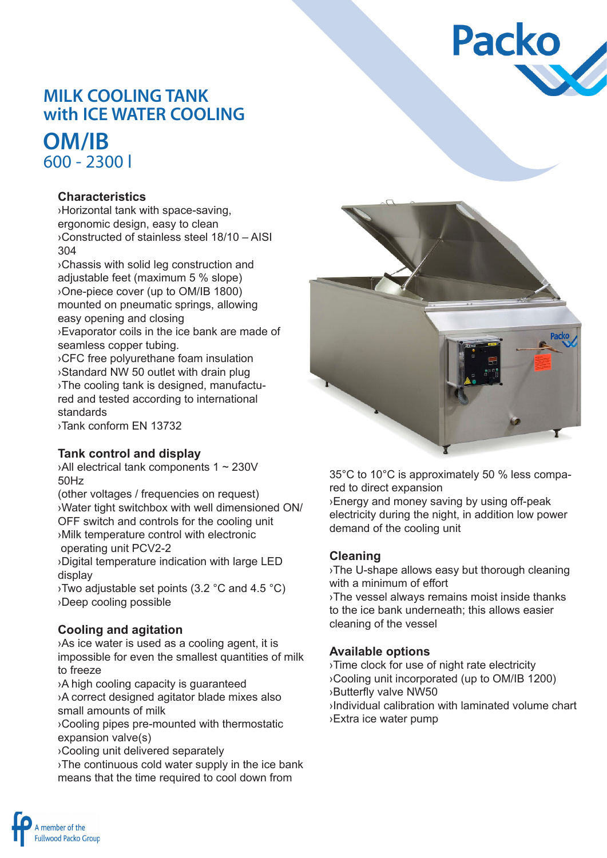# **Packo**

## **MILK COOLING TANK with ICE WATER COOLING**

## **OM/IB** 600 - 2300 l

#### **Characteristics**

›Horizontal tank with space-saving, ergonomic design, easy to clean ›Constructed of stainless steel 18/10 – AISI 304

›Chassis with solid leg construction and adjustable feet (maximum 5 % slope) ›One-piece cover (up to OM/IB 1800) mounted on pneumatic springs, allowing easy opening and closing ›Evaporator coils in the ice bank are made of

seamless copper tubing.

›CFC free polyurethane foam insulation ›Standard NW 50 outlet with drain plug ›The cooling tank is designed, manufactured and tested according to international standards

›Tank conform EN 13732

#### **Tank control and display**

›All electrical tank components 1 ~ 230V 50Hz

(other voltages / frequencies on request) ›Water tight switchbox with well dimensioned ON/ OFF switch and controls for the cooling unit ›Milk temperature control with electronic operating unit PCV2-2

›Digital temperature indication with large LED display

›Two adjustable set points (3.2 °C and 4.5 °C) ›Deep cooling possible

#### **Cooling and agitation**

›As ice water is used as a cooling agent, it is impossible for even the smallest quantities of milk to freeze

›A high cooling capacity is guaranteed ›A correct designed agitator blade mixes also small amounts of milk

›Cooling pipes pre-mounted with thermostatic expansion valve(s)

›Cooling unit delivered separately

›The continuous cold water supply in the ice bank means that the time required to cool down from



35°C to 10°C is approximately 50 % less compared to direct expansion ›Energy and money saving by using off-peak electricity during the night, in addition low power demand of the cooling unit

#### **Cleaning**

›The U-shape allows easy but thorough cleaning with a minimum of effort

›The vessel always remains moist inside thanks to the ice bank underneath; this allows easier cleaning of the vessel

#### **Available options**

›Time clock for use of night rate electricity ›Cooling unit incorporated (up to OM/IB 1200) ›Butterfly valve NW50 ›Individual calibration with laminated volume chart ›Extra ice water pump